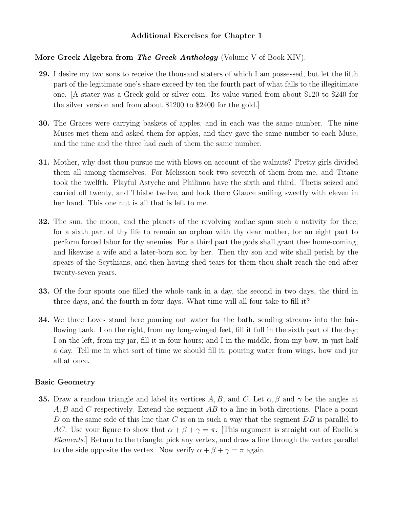# **Additional Exercises for Chapter 1**

# **More Greek Algebra from** *The Greek Anthology* (Volume V of Book XIV).

- **29.** I desire my two sons to receive the thousand staters of which I am possessed, but let the fifth part of the legitimate one's share exceed by ten the fourth part of what falls to the illegitimate one. [A stater was a Greek gold or silver coin. Its value varied from about \$120 to \$240 for the silver version and from about \$1200 to \$2400 for the gold.]
- **30.** The Graces were carrying baskets of apples, and in each was the same number. The nine Muses met them and asked them for apples, and they gave the same number to each Muse, and the nine and the three had each of them the same number.
- **31.** Mother, why dost thou pursue me with blows on account of the walnuts? Pretty girls divided them all among themselves. For Melission took two seventh of them from me, and Titane took the twelfth. Playful Astyche and Philinna have the sixth and third. Thetis seized and carried off twenty, and Thisbe twelve, and look there Glauce smiling sweetly with eleven in her hand. This one nut is all that is left to me.
- **32.** The sun, the moon, and the planets of the revolving zodiac spun such a nativity for thee; for a sixth part of thy life to remain an orphan with thy dear mother, for an eight part to perform forced labor for thy enemies. For a third part the gods shall grant thee home-coming, and likewise a wife and a later-born son by her. Then thy son and wife shall perish by the spears of the Scythians, and then having shed tears for them thou shalt reach the end after twenty-seven years.
- **33.** Of the four spouts one filled the whole tank in a day, the second in two days, the third in three days, and the fourth in four days. What time will all four take to fill it?
- **34.** We three Loves stand here pouring out water for the bath, sending streams into the fairflowing tank. I on the right, from my long-winged feet, fill it full in the sixth part of the day; I on the left, from my jar, fill it in four hours; and I in the middle, from my bow, in just half a day. Tell me in what sort of time we should fill it, pouring water from wings, bow and jar all at once.

## **Basic Geometry**

**35.** Draw a random triangle and label its vertices A, B, and C. Let  $\alpha$ ,  $\beta$  and  $\gamma$  be the angles at A, B and C respectively. Extend the segment AB to a line in both directions. Place a point D on the same side of this line that C is on in such a way that the segment  $DB$  is parallel to AC. Use your figure to show that  $\alpha + \beta + \gamma = \pi$ . [This argument is straight out of Euclid's Elements.] Return to the triangle, pick any vertex, and draw a line through the vertex parallel to the side opposite the vertex. Now verify  $\alpha + \beta + \gamma = \pi$  again.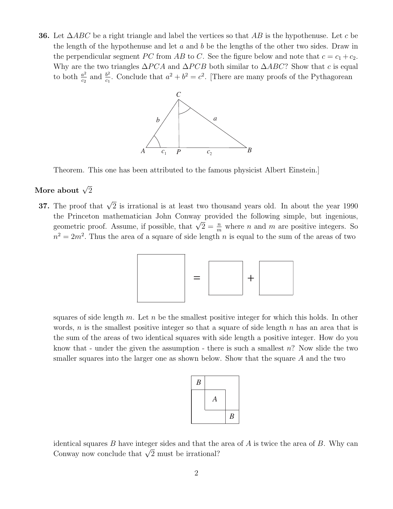**36.** Let ∆ABC be a right triangle and label the vertices so that AB is the hypothenuse. Let c be the length of the hypothenuse and let  $a$  and  $b$  be the lengths of the other two sides. Draw in the perpendicular segment PC from AB to C. See the figure below and note that  $c = c_1 + c_2$ . Why are the two triangles  $\Delta PCA$  and  $\Delta PCB$  both similar to  $\Delta ABC$ ? Show that c is equal to both  $\frac{a^2}{c_2}$  and  $\frac{b^2}{c_1}$ . Conclude that  $a^2 + b^2 = c^2$ . [There are many proofs of the Pythagorean



Theorem. This one has been attributed to the famous physicist Albert Einstein.]

# More about  $\sqrt{2}$

**37.** The proof that  $\sqrt{2}$  is irrational is at least two thousand years old. In about the year 1990 the Princeton mathematician John Conway provided the following simple, but ingenious, geometric proof. Assume, if possible, that  $\sqrt{2} = \frac{n}{m}$  where *n* and *m* are positive integers. So  $n^2 = 2m^2$ . Thus the area of a square of side length n is equal to the sum of the areas of two



squares of side length m. Let n be the smallest positive integer for which this holds. In other words, n is the smallest positive integer so that a square of side length  $n$  has an area that is the sum of the areas of two identical squares with side length a positive integer. How do you know that - under the given the assumption - there is such a smallest  $n$ ? Now slide the two smaller squares into the larger one as shown below. Show that the square A and the two



identical squares  $B$  have integer sides and that the area of  $A$  is twice the area of  $B$ . Why can Conway now conclude that  $\sqrt{2}$  must be irrational?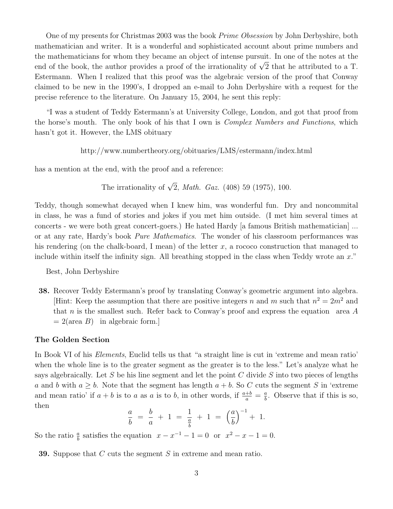One of my presents for Christmas 2003 was the book Prime Obsession by John Derbyshire, both mathematician and writer. It is a wonderful and sophisticated account about prime numbers and the mathematicians for whom they became an object of intense pursuit. In one of the notes at the end of the book, the author provides a proof of the irrationality of  $\sqrt{2}$  that he attributed to a T. Estermann. When I realized that this proof was the algebraic version of the proof that Conway claimed to be new in the 1990's, I dropped an e-mail to John Derbyshire with a request for the precise reference to the literature. On January 15, 2004, he sent this reply:

"I was a student of Teddy Estermann's at University College, London, and got that proof from the horse's mouth. The only book of his that I own is Complex Numbers and Functions, which hasn't got it. However, the LMS obituary

http://www.numbertheory.org/obituaries/LMS/estermann/index.html

has a mention at the end, with the proof and a reference:

The irrationality of  $\sqrt{2}$ , *Math. Gaz.* (408) 59 (1975), 100.

Teddy, though somewhat decayed when I knew him, was wonderful fun. Dry and noncommital in class, he was a fund of stories and jokes if you met him outside. (I met him several times at concerts - we were both great concert-goers.) He hated Hardy [a famous British mathematician] ... or at any rate, Hardy's book Pure Mathematics. The wonder of his classroom performances was his rendering (on the chalk-board, I mean) of the letter  $x$ , a rococo construction that managed to include within itself the infinity sign. All breathing stopped in the class when Teddy wrote an  $x$ ."

Best, John Derbyshire

**38.** Recover Teddy Estermann's proof by translating Conway's geometric argument into algebra. [Hint: Keep the assumption that there are positive integers n and m such that  $n^2 = 2m^2$  and that n is the smallest such. Refer back to Conway's proof and express the equation area  $A$  $= 2(\text{area } B)$  in algebraic form.

### **The Golden Section**

In Book VI of his Elements, Euclid tells us that "a straight line is cut in 'extreme and mean ratio' when the whole line is to the greater segment as the greater is to the less." Let's analyze what he says algebraically. Let S be his line segment and let the point C divide S into two pieces of lengths a and b with  $a > b$ . Note that the segment has length  $a + b$ . So C cuts the segment S in 'extreme and mean ratio' if  $a + b$  is to a as a is to b, in other words, if  $\frac{a+b}{a} = \frac{a}{b}$ . Observe that if this is so, then

$$
\frac{a}{b} = \frac{b}{a} + 1 = \frac{1}{\frac{a}{b}} + 1 = \left(\frac{a}{b}\right)^{-1} + 1.
$$

So the ratio  $\frac{a}{b}$  satisfies the equation  $x - x^{-1} - 1 = 0$  or  $x^2 - x - 1 = 0$ .

**39.** Suppose that C cuts the segment S in extreme and mean ratio.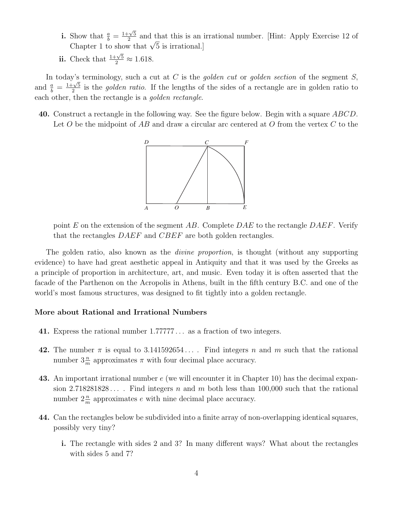- **i.** Show that  $\frac{a}{b} = \frac{1+\sqrt{5}}{2}$  and that this is an irrational number. [Hint: Apply Exercise 12 of Chapter 1 to show that  $\sqrt{5}$  is irrational.]
- **ii.** Check that  $\frac{1+\sqrt{5}}{2} \approx 1.618$ .

In today's terminology, such a cut at C is the golden cut or golden section of the segment S, and  $\frac{a}{b} = \frac{1+\sqrt{5}}{2}$  is the *golden ratio*. If the lengths of the sides of a rectangle are in golden ratio to each other, then the rectangle is a golden rectangle.

**40.** Construct a rectangle in the following way. See the figure below. Begin with a square ABCD. Let O be the midpoint of AB and draw a circular arc centered at O from the vertex C to the



point E on the extension of the segment AB. Complete DAE to the rectangle DAEF. Verify that the rectangles  $DAEF$  and  $CBEF$  are both golden rectangles.

The golden ratio, also known as the *divine proportion*, is thought (without any supporting evidence) to have had great aesthetic appeal in Antiquity and that it was used by the Greeks as a principle of proportion in architecture, art, and music. Even today it is often asserted that the facade of the Parthenon on the Acropolis in Athens, built in the fifth century B.C. and one of the world's most famous structures, was designed to fit tightly into a golden rectangle.

#### **More about Rational and Irrational Numbers**

- **41.** Express the rational number 1.77777 ... as a fraction of two integers.
- **42.** The number  $\pi$  is equal to 3.141592654.... Find integers n and m such that the rational number  $3\frac{n}{m}$  approximates  $\pi$  with four decimal place accuracy.
- **43.** An important irrational number e (we will encounter it in Chapter 10) has the decimal expansion 2.718281828.... Find integers n and m both less than 100,000 such that the rational number  $2\frac{n}{m}$  approximates e with nine decimal place accuracy.
- **44.** Can the rectangles below be subdivided into a finite array of non-overlapping identical squares, possibly very tiny?
	- **i.** The rectangle with sides 2 and 3? In many different ways? What about the rectangles with sides 5 and 7?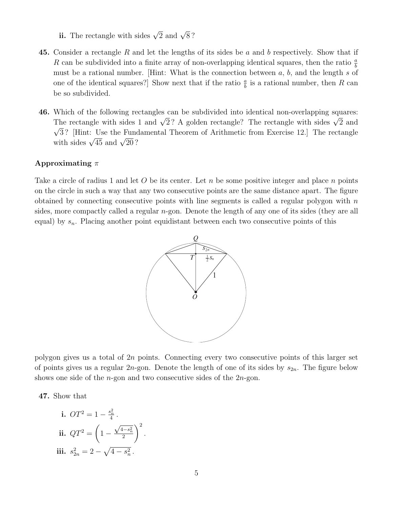- **ii.** The rectangle with sides  $\sqrt{2}$  and  $\sqrt{8}$ ?
- **45.** Consider a rectangle R and let the lengths of its sides be a and b respectively. Show that if R can be subdivided into a finite array of non-overlapping identical squares, then the ratio  $\frac{a}{b}$ must be a rational number. [Hint: What is the connection between  $a, b$ , and the length s of one of the identical squares?] Show next that if the ratio  $\frac{a}{b}$  is a rational number, then R can be so subdivided.
- **46.** Which of the following rectangles can be subdivided into identical non-overlapping squares: The rectangle with sides 1 and  $\sqrt{2}$ ? A golden rectangle? The rectangle with sides  $\sqrt{2}$  and  $\sqrt{3}$ ? [Hint: Use the Fundamental Theorem of Arithmetic from Exercise 12.] The rectangle with sides  $\sqrt{45}$  and  $\sqrt{20}$ ?

## **Approximating** π

Take a circle of radius 1 and let O be its center. Let n be some positive integer and place n points on the circle in such a way that any two consecutive points are the same distance apart. The figure obtained by connecting consecutive points with line segments is called a regular polygon with  $n$ sides, more compactly called a regular  $n$ -gon. Denote the length of any one of its sides (they are all equal) by  $s_n$ . Placing another point equidistant between each two consecutive points of this



polygon gives us a total of 2n points. Connecting every two consecutive points of this larger set of points gives us a regular  $2n$ -gon. Denote the length of one of its sides by  $s_{2n}$ . The figure below shows one side of the  $n$ -gon and two consecutive sides of the  $2n$ -gon.

**47.** Show that

i. 
$$
OT^2 = 1 - \frac{s_n^2}{4}
$$
.  
\nii.  $QT^2 = \left(1 - \frac{\sqrt{4 - s_n^2}}{2}\right)^2$ .  
\niii.  $s_{2n}^2 = 2 - \sqrt{4 - s_n^2}$ .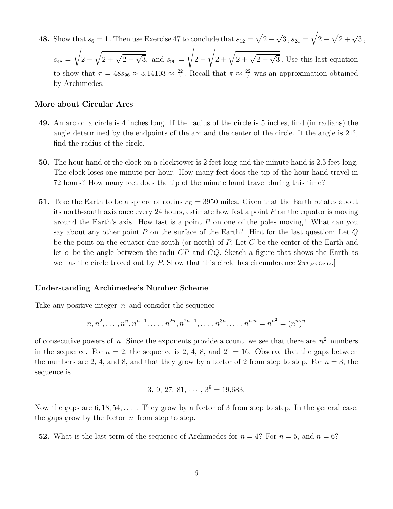**48.** Show that  $s_6 = 1$ . Then use Exercise 47 to conclude that  $s_{12} = \sqrt{2 - \sqrt{3}}$ ,  $s_{24} = \sqrt{2 - \sqrt{2 + \sqrt{3}}}$ ,

 $s_{48} =$  $\sqrt{ }$  $2-\sqrt{2+\sqrt{2+\sqrt{3}}}, \text{ and } s_{96} =$  $\sqrt{2}$  $2 \sqrt{2 + \sqrt{2 + \sqrt{3}}}$ . Use this last equation to show that  $\pi = 48s_{96} \approx 3.14103 \approx \frac{22}{7}$ . Recall that  $\pi \approx \frac{22}{7}$  was an approximation obtained by Archimedes.

#### **More about Circular Arcs**

- **49.** An arc on a circle is 4 inches long. If the radius of the circle is 5 inches, find (in radians) the angle determined by the endpoints of the arc and the center of the circle. If the angle is  $21°$ , find the radius of the circle.
- **50.** The hour hand of the clock on a clocktower is 2 feet long and the minute hand is 2.5 feet long. The clock loses one minute per hour. How many feet does the tip of the hour hand travel in 72 hours? How many feet does the tip of the minute hand travel during this time?
- **51.** Take the Earth to be a sphere of radius  $r_E = 3950$  miles. Given that the Earth rotates about its north-south axis once every 24 hours, estimate how fast a point  $P$  on the equator is moving around the Earth's axis. How fast is a point  $P$  on one of the poles moving? What can you say about any other point P on the surface of the Earth? [Hint for the last question: Let  $Q$ be the point on the equator due south (or north) of  $P$ . Let  $C$  be the center of the Earth and let  $\alpha$  be the angle between the radii CP and CQ. Sketch a figure that shows the Earth as well as the circle traced out by P. Show that this circle has circumference  $2\pi r_E \cos \alpha$ .

#### **Understanding Archimedes's Number Scheme**

Take any positive integer  $n$  and consider the sequence

$$
n, n^2, \ldots, n^n, n^{n+1}, \ldots, n^{2n}, n^{2n+1}, \ldots, n^{3n}, \ldots, n^{n \cdot n} = n^{n^2} = (n^n)^n
$$

of consecutive powers of n. Since the exponents provide a count, we see that there are  $n^2$  numbers in the sequence. For  $n = 2$ , the sequence is 2, 4, 8, and  $2^4 = 16$ . Observe that the gaps between the numbers are 2, 4, and 8, and that they grow by a factor of 2 from step to step. For  $n = 3$ , the sequence is

$$
3, 9, 27, 81, \cdots, 3^9 = 19,683.
$$

Now the gaps are  $6, 18, 54, \ldots$ . They grow by a factor of 3 from step to step. In the general case, the gaps grow by the factor  $n$  from step to step.

**52.** What is the last term of the sequence of Archimedes for  $n = 4$ ? For  $n = 5$ , and  $n = 6$ ?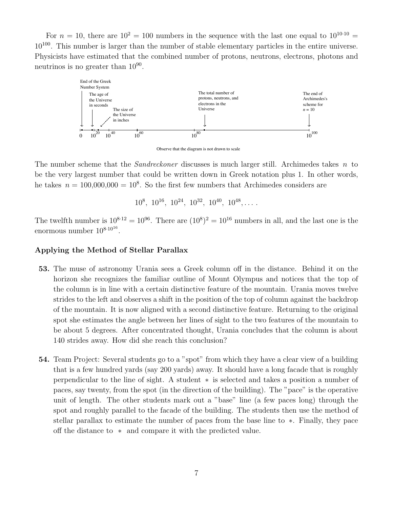For  $n = 10$ , there are  $10^2 = 100$  numbers in the sequence with the last one equal to  $10^{10 \cdot 10}$  = 10<sup>100</sup>. This number is larger than the number of stable elementary particles in the entire universe. Physicists have estimated that the combined number of protons, neutrons, electrons, photons and neutrinos is no greater than  $10^{90}$ .



Observe that the diagram is not drawn to scale

The number scheme that the *Sandreckoner* discusses is much larger still. Archimedes takes  $n$  to be the very largest number that could be written down in Greek notation plus 1. In other words, he takes  $n = 100,000,000 = 10<sup>8</sup>$ . So the first few numbers that Archimedes considers are

 $10^8$ ,  $10^{16}$ ,  $10^{24}$ ,  $10^{32}$ ,  $10^{40}$ ,  $10^{48}$ , ...

The twelfth number is  $10^{8.12} = 10^{96}$ . There are  $(10^8)^2 = 10^{16}$  numbers in all, and the last one is the enormous number  $10^{8 \cdot 10^{16}}$ .

### **Applying the Method of Stellar Parallax**

- **53.** The muse of astronomy Urania sees a Greek column off in the distance. Behind it on the horizon she recognizes the familiar outline of Mount Olympus and notices that the top of the column is in line with a certain distinctive feature of the mountain. Urania moves twelve strides to the left and observes a shift in the position of the top of column against the backdrop of the mountain. It is now aligned with a second distinctive feature. Returning to the original spot she estimates the angle between her lines of sight to the two features of the mountain to be about 5 degrees. After concentrated thought, Urania concludes that the column is about 140 strides away. How did she reach this conclusion?
- **54.** Team Project: Several students go to a "spot" from which they have a clear view of a building that is a few hundred yards (say 200 yards) away. It should have a long facade that is roughly perpendicular to the line of sight. A student ∗ is selected and takes a position a number of paces, say twenty, from the spot (in the direction of the building). The "pace" is the operative unit of length. The other students mark out a "base" line (a few paces long) through the spot and roughly parallel to the facade of the building. The students then use the method of stellar parallax to estimate the number of paces from the base line to ∗. Finally, they pace off the distance to ∗ and compare it with the predicted value.